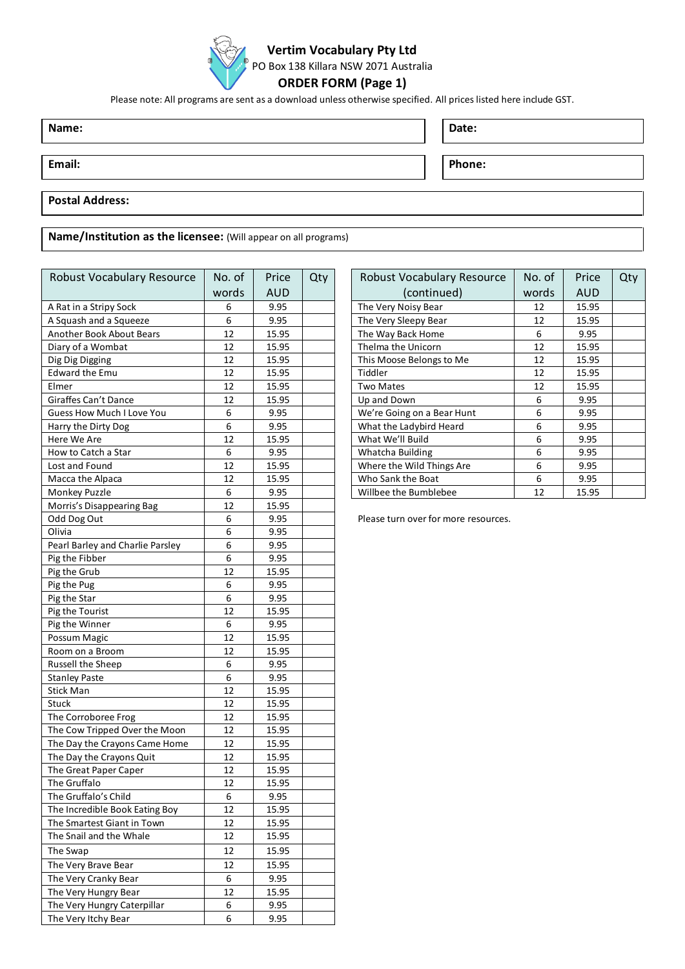

### **Vertim Vocabulary Pty Ltd**

PO Box 138 Killara NSW 2071 Australia

# **ORDER FORM (Page 1)**

Please note: All programs are sent as a download unless otherwise specified. All prices listed here include GST.

**Name: Date:**

**Email: Phone:**

#### **Postal Address:**

**Name/Institution as the licensee:** (Will appear on all programs)

| Robust Vocabulary Resource       | No. of | Price      | Qty | Robust Vocabulary Resource           | No. of | Price |
|----------------------------------|--------|------------|-----|--------------------------------------|--------|-------|
|                                  | words  | <b>AUD</b> |     | (continued)                          | words  | AUD   |
| A Rat in a Stripy Sock           | 6      | 9.95       |     | The Very Noisy Bear                  | 12     | 15.95 |
| A Squash and a Squeeze           | 6      | 9.95       |     | The Very Sleepy Bear                 | 12     | 15.95 |
| Another Book About Bears         | 12     | 15.95      |     | The Way Back Home                    | 6      | 9.95  |
| Diary of a Wombat                | 12     | 15.95      |     | Thelma the Unicorn                   | 12     | 15.95 |
| Dig Dig Digging                  | 12     | 15.95      |     | This Moose Belongs to Me             | 12     | 15.95 |
| <b>Edward the Emu</b>            | 12     | 15.95      |     | Tiddler                              | 12     | 15.95 |
| Elmer                            | 12     | 15.95      |     | <b>Two Mates</b>                     | 12     | 15.95 |
| Giraffes Can't Dance             | 12     | 15.95      |     | Up and Down                          | 6      | 9.95  |
| Guess How Much I Love You        | 6      | 9.95       |     | We're Going on a Bear Hunt           | 6      | 9.95  |
| Harry the Dirty Dog              | 6      | 9.95       |     | What the Ladybird Heard              | 6      | 9.95  |
| Here We Are                      | 12     | 15.95      |     | What We'll Build                     | 6      | 9.95  |
| How to Catch a Star              | 6      | 9.95       |     | Whatcha Building                     | 6      | 9.95  |
| Lost and Found                   | 12     | 15.95      |     | Where the Wild Things Are            | 6      | 9.95  |
| Macca the Alpaca                 | 12     | 15.95      |     | Who Sank the Boat                    | 6      | 9.95  |
| Monkey Puzzle                    | 6      | 9.95       |     | Willbee the Bumblebee                | 12     | 15.95 |
| Morris's Disappearing Bag        | 12     | 15.95      |     |                                      |        |       |
| Odd Dog Out                      | 6      | 9.95       |     | Please turn over for more resources. |        |       |
| Olivia                           | 6      | 9.95       |     |                                      |        |       |
| Pearl Barley and Charlie Parsley | 6      | 9.95       |     |                                      |        |       |
| Pig the Fibber                   | 6      | 9.95       |     |                                      |        |       |
| Pig the Grub                     | 12     | 15.95      |     |                                      |        |       |
| Pig the Pug                      | 6      | 9.95       |     |                                      |        |       |
| Pig the Star                     | 6      | 9.95       |     |                                      |        |       |
| Pig the Tourist                  | 12     | 15.95      |     |                                      |        |       |
| Pig the Winner                   | 6      | 9.95       |     |                                      |        |       |
| Possum Magic                     | 12     | 15.95      |     |                                      |        |       |
| Room on a Broom                  | 12     | 15.95      |     |                                      |        |       |
| Russell the Sheep                | 6      | 9.95       |     |                                      |        |       |
| <b>Stanley Paste</b>             | 6      | 9.95       |     |                                      |        |       |
| Stick Man                        | 12     | 15.95      |     |                                      |        |       |
| Stuck                            | 12     | 15.95      |     |                                      |        |       |
| The Corroboree Frog              | 12     | 15.95      |     |                                      |        |       |
| The Cow Tripped Over the Moon    | 12     | 15.95      |     |                                      |        |       |
| The Day the Crayons Came Home    | 12     | 15.95      |     |                                      |        |       |
| The Day the Crayons Quit         | 12     | 15.95      |     |                                      |        |       |
| The Great Paper Caper            | 12     | 15.95      |     |                                      |        |       |
| The Gruffalo                     | 12     | 15.95      |     |                                      |        |       |
| The Gruffalo's Child             | 6      | 9.95       |     |                                      |        |       |
| The Incredible Book Eating Boy   | 12     | 15.95      |     |                                      |        |       |
| The Smartest Giant in Town       | 12     | 15.95      |     |                                      |        |       |
| The Snail and the Whale          | 12     | 15.95      |     |                                      |        |       |
| The Swap                         | 12     | 15.95      |     |                                      |        |       |
| The Very Brave Bear              | 12     | 15.95      |     |                                      |        |       |
| The Very Cranky Bear             | 6      | 9.95       |     |                                      |        |       |
| The Very Hungry Bear             | 12     | 15.95      |     |                                      |        |       |
| The Very Hungry Caterpillar      | 6      | 9.95       |     |                                      |        |       |
| The Very Itchy Bear              | 6      | 9.95       |     |                                      |        |       |

| Qty | Robust Vocabulary Resource | No. of | Price      | Qty |
|-----|----------------------------|--------|------------|-----|
|     | (continued)                | words  | <b>AUD</b> |     |
|     | The Very Noisy Bear        | 12     | 15.95      |     |
|     | The Very Sleepy Bear       | 12     | 15.95      |     |
|     | The Way Back Home          | 6      | 9.95       |     |
|     | Thelma the Unicorn         | 12     | 15.95      |     |
|     | This Moose Belongs to Me   | 12     | 15.95      |     |
|     | Tiddler                    | 12     | 15.95      |     |
|     | Two Mates                  | 12     | 15.95      |     |
|     | Up and Down                | 6      | 9.95       |     |
|     | We're Going on a Bear Hunt | 6      | 9.95       |     |
|     | What the Ladybird Heard    | 6      | 9.95       |     |
|     | What We'll Build           | 6      | 9.95       |     |
|     | Whatcha Building           | 6      | 9.95       |     |
|     | Where the Wild Things Are  | 6      | 9.95       |     |
|     | Who Sank the Boat          | 6      | 9.95       |     |
|     | Willbee the Bumblebee      | 12     | 15.95      |     |